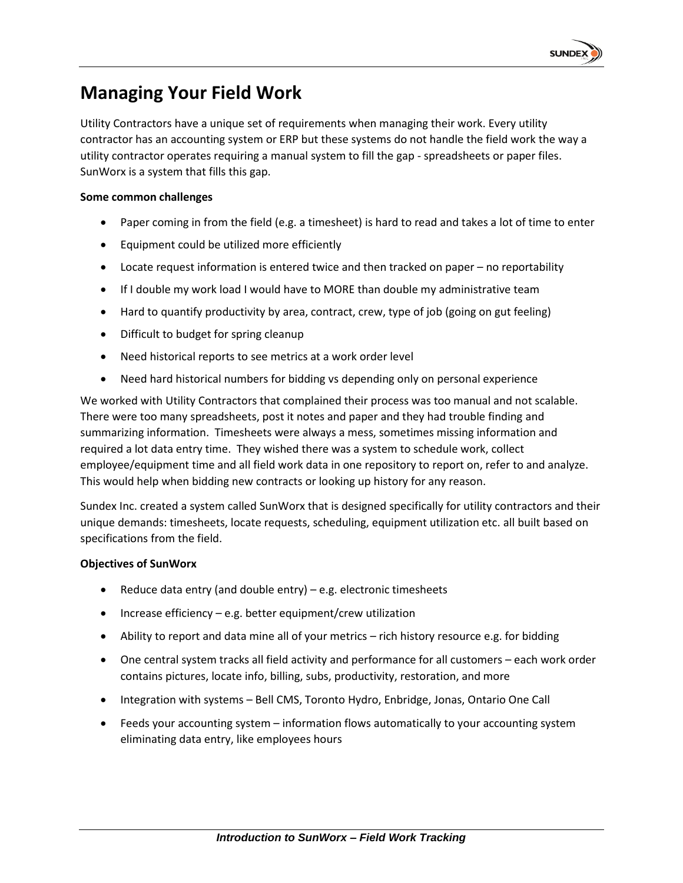

# **Managing Your Field Work**

Utility Contractors have a unique set of requirements when managing their work. Every utility contractor has an accounting system or ERP but these systems do not handle the field work the way a utility contractor operates requiring a manual system to fill the gap - spreadsheets or paper files. SunWorx is a system that fills this gap.

#### **Some common challenges**

- Paper coming in from the field (e.g. a timesheet) is hard to read and takes a lot of time to enter
- Equipment could be utilized more efficiently
- Locate request information is entered twice and then tracked on paper no reportability
- If I double my work load I would have to MORE than double my administrative team
- Hard to quantify productivity by area, contract, crew, type of job (going on gut feeling)
- Difficult to budget for spring cleanup
- Need historical reports to see metrics at a work order level
- Need hard historical numbers for bidding vs depending only on personal experience

We worked with Utility Contractors that complained their process was too manual and not scalable. There were too many spreadsheets, post it notes and paper and they had trouble finding and summarizing information. Timesheets were always a mess, sometimes missing information and required a lot data entry time. They wished there was a system to schedule work, collect employee/equipment time and all field work data in one repository to report on, refer to and analyze. This would help when bidding new contracts or looking up history for any reason.

Sundex Inc. created a system called SunWorx that is designed specifically for utility contractors and their unique demands: timesheets, locate requests, scheduling, equipment utilization etc. all built based on specifications from the field.

#### **Objectives of SunWorx**

- Reduce data entry (and double entry)  $-$  e.g. electronic timesheets
- Increase efficiency e.g. better equipment/crew utilization
- Ability to report and data mine all of your metrics rich history resource e.g. for bidding
- One central system tracks all field activity and performance for all customers each work order contains pictures, locate info, billing, subs, productivity, restoration, and more
- Integration with systems Bell CMS, Toronto Hydro, Enbridge, Jonas, Ontario One Call
- Feeds your accounting system information flows automatically to your accounting system eliminating data entry, like employees hours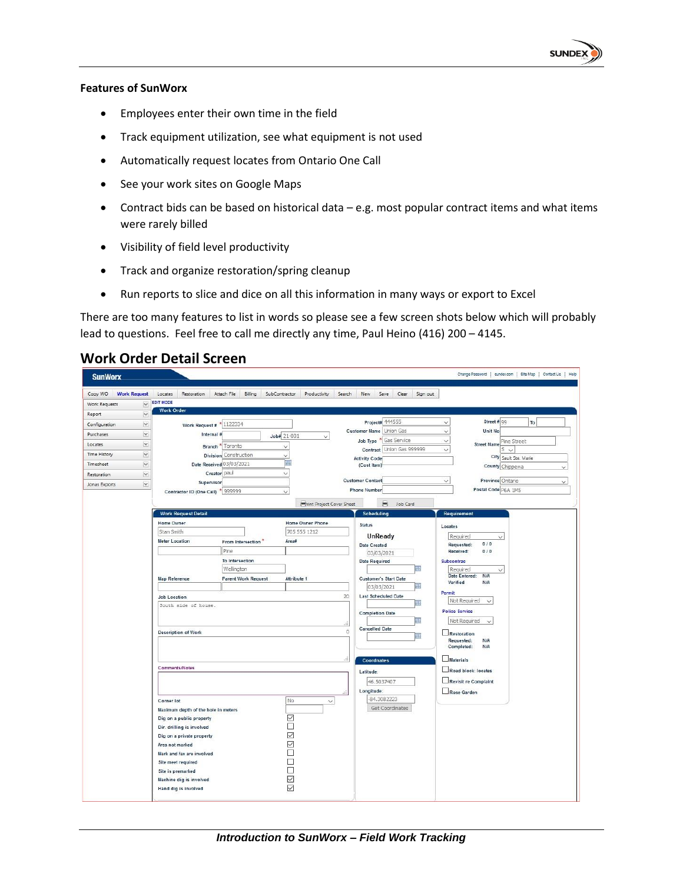

#### **Features of SunWorx**

- Employees enter their own time in the field
- Track equipment utilization, see what equipment is not used
- Automatically request locates from Ontario One Call
- See your work sites on Google Maps
- Contract bids can be based on historical data e.g. most popular contract items and what items were rarely billed
- Visibility of field level productivity
- Track and organize restoration/spring cleanup
- Run reports to slice and dice on all this information in many ways or export to Excel

There are too many features to list in words so please see a few screen shots below which will probably lead to questions. Feel free to call me directly any time, Paul Heino (416) 200 – 4145.

#### **Work Order Detail Screen**

| <b>SunWorx</b>                  |                                                       |                              |                                 |                                             | Change Password   sundex.com   Site Map   Contact Us   Help |
|---------------------------------|-------------------------------------------------------|------------------------------|---------------------------------|---------------------------------------------|-------------------------------------------------------------|
| Copy WO<br><b>Work Request</b>  | Locates<br>Restoration                                | Attach File<br>Billing       | SubContractor<br>Productivity   | Search<br>New.<br>Save<br>Clear<br>Sign out |                                                             |
| Work Requests<br>$\checkmark$   | <b>EDIT MODE</b>                                      |                              |                                 |                                             |                                                             |
| Report<br>$\boldsymbol{\times}$ | <b>Work Order</b>                                     |                              |                                 |                                             |                                                             |
| $\checkmark$<br>Configuration   | Work Request # 1122334                                |                              |                                 | Project# 444555                             | Street # 99<br>To<br>$\checkmark$                           |
| Purchases<br>$\check{}$         | Internal                                              |                              | Job# 21-001<br>v                | Union Gas<br><b>Customer Name</b>           | Unit No<br>$\checkmark$                                     |
| M<br>Locates                    |                                                       | Branch <sup>*</sup> Toronto  | $\checkmark$                    | Job Type * Gas Service                      | $\checkmark$<br>Pine Street<br><b>Street Name</b>           |
| Time History<br>$\checkmark$    |                                                       | <b>Division</b> Construction | $\checkmark$                    | Contract Union Gas 999999                   | $\checkmark$<br>$S \vee$                                    |
| Timesheet<br>$\checkmark$       |                                                       | Date Received 03/03/2021     | 圖                               | <b>Activity Code</b><br>(Cost Item)         | City Sault Ste. Marie<br>County Chippewa<br>$\checkmark$    |
| Y<br>Restoration                |                                                       | Creator paul                 | $\check{~}$                     |                                             |                                                             |
| $\checkmark$<br>Jonas Exports   | Supervisor                                            |                              |                                 | <b>Customer Contact</b>                     | Province Ontario<br>V<br>$\checkmark$                       |
|                                 | Contractor ID (One Call) * 999999                     |                              | $\checkmark$                    | <b>Phone Number</b>                         | Postal Code P6A 1M5                                         |
|                                 |                                                       |                              | <b>Pint Project Cover Sheet</b> | ÷<br>Job Card                               |                                                             |
|                                 | <b>Work Request Detail</b>                            |                              |                                 | <b>Scheduling</b>                           | Requirement                                                 |
|                                 | <b>Home Owner</b>                                     |                              | Home Owner Phone                | <b>Status</b>                               | Locates                                                     |
|                                 | Stan Smith                                            |                              | 705 555 1212                    | UnReady                                     | Required<br>$\checkmark$                                    |
|                                 | <b>Meter Location</b>                                 | From Intersection            | Area#                           | Date Created                                | 0/0<br>Requested:                                           |
|                                 |                                                       | Pine                         |                                 | 03/03/2021                                  | Received:<br>0/0                                            |
|                                 |                                                       | To Intersection              |                                 | <b>Date Required</b>                        | Subcontrac                                                  |
|                                 |                                                       | Wellington                   |                                 | ᄈ                                           | Required<br>$\checkmark$<br>N/A<br>Date Entered:            |
|                                 | <b>Map Reference</b>                                  | <b>Parent Work Request</b>   | Attribute 1                     | <b>Customer's Start Date</b><br>03/03/2021  | Verified<br><b>N/A</b>                                      |
|                                 |                                                       |                              |                                 | <b>Last Scheduled Date</b><br>20            | Permit                                                      |
|                                 | <b>Job Location</b><br>South side of house.           |                              |                                 | 囲                                           | Not Required<br>$\check{~}$                                 |
|                                 |                                                       |                              |                                 | <b>Completion Date</b>                      | <b>Police Service</b>                                       |
|                                 |                                                       |                              |                                 | 曲                                           | Not Required<br>$\checkmark$                                |
|                                 | <b>Description of Work</b>                            |                              |                                 | <b>Cancelled Date</b><br>ö<br>Ш             | Restoration                                                 |
|                                 |                                                       |                              |                                 |                                             | Requested:<br><b>N/A</b><br>Completed:<br>N/A               |
|                                 |                                                       |                              |                                 |                                             |                                                             |
|                                 |                                                       |                              |                                 | <b>Coordnates</b>                           | Materials                                                   |
|                                 | Comments/Notes                                        |                              |                                 | Latitude:                                   | Road block: locates                                         |
|                                 |                                                       |                              |                                 | 46.5037407                                  | Revisit re Complaint                                        |
|                                 |                                                       |                              |                                 | Longitude:<br>ă.                            | Rose Garden                                                 |
|                                 | Corner lot                                            |                              | No<br>$\checkmark$              | 84.3082223                                  |                                                             |
|                                 | Maximum depth of the hole in meters                   |                              |                                 | Get Coordinates                             |                                                             |
|                                 | Dig on a public property<br>Dir. drilling is involved |                              | $\checkmark$<br>□               |                                             |                                                             |
|                                 | Dig on a private property                             |                              | $\checkmark$                    |                                             |                                                             |
|                                 | Area not marked                                       |                              | $\checkmark$                    |                                             |                                                             |
|                                 | Mark and fax are involved                             |                              |                                 |                                             |                                                             |
|                                 | Site meet required                                    |                              |                                 |                                             |                                                             |
|                                 | Site is premarked                                     |                              |                                 |                                             |                                                             |
|                                 | Machine dig is involved                               |                              | ☑                               |                                             |                                                             |
|                                 | Hand dig is involved                                  |                              | $\triangledown$                 |                                             |                                                             |
|                                 |                                                       |                              |                                 |                                             |                                                             |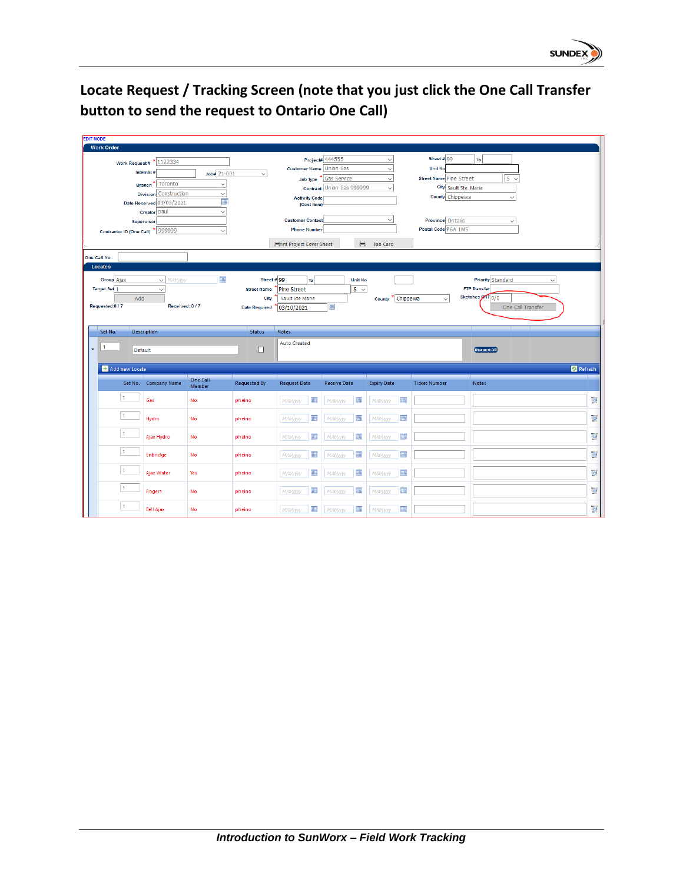

### **Locate Request / Tracking Screen (note that you just click the One Call Transfer button to send the request to Ontario One Call)**

| <b>EDIT MODE</b>                  |                              |                    |                      |                                     |                           |                      |                                |                                                |                   |                         |
|-----------------------------------|------------------------------|--------------------|----------------------|-------------------------------------|---------------------------|----------------------|--------------------------------|------------------------------------------------|-------------------|-------------------------|
| <b>Work Order</b>                 |                              |                    |                      |                                     |                           |                      |                                |                                                |                   |                         |
|                                   | Work Request # $*$ 1122334   |                    |                      |                                     | Project# 444555           | $\checkmark$         | Street #99                     | To                                             |                   |                         |
|                                   | Internal #                   | $Job# 21-001$      | $\checkmark$         | <b>Customer Name Union Gas</b>      |                           | $\checkmark$         | <b>Unit No</b>                 |                                                |                   |                         |
|                                   | Branch <sup>*</sup> Toronto  | $\checkmark$       |                      |                                     | Job Type * Gas Service    | $\checkmark$         | <b>Street Name Pine Street</b> |                                                | $s \sim$          |                         |
|                                   | <b>Division</b> Construction | $\checkmark$       |                      |                                     | Contract Union Gas 999999 | $\checkmark$         |                                | City Sault Ste. Marie                          |                   |                         |
|                                   | Date Received 03/03/2021     | E                  |                      | <b>Activity Code</b><br>(Cost Item) |                           |                      | County Chippewa                |                                                | $\checkmark$      |                         |
|                                   | Creator paul                 | $\checkmark$       |                      |                                     |                           |                      |                                |                                                |                   |                         |
| <b>Supervisor</b>                 |                              |                    |                      | <b>Customer Contact</b>             |                           | $\checkmark$         | Province Ontario               |                                                | $\checkmark$      |                         |
| Contractor ID (One Call) * 999999 |                              | $\checkmark$       |                      | <b>Phone Number</b>                 |                           |                      | Postal Code P6A 1M5            |                                                |                   |                         |
|                                   |                              |                    |                      | Frint Project Cover Sheet           | 昌                         | <b>Job Card</b>      |                                |                                                |                   |                         |
|                                   |                              |                    |                      |                                     |                           |                      |                                |                                                |                   |                         |
| One Call No:<br><b>Locates</b>    |                              |                    |                      |                                     |                           |                      |                                |                                                |                   |                         |
|                                   |                              |                    |                      |                                     |                           |                      |                                |                                                |                   |                         |
| <b>Group</b> Ajax                 | $\vee$ M/d/yyyy              | E                  | Street # $99$        | To                                  | <b>Unit No</b>            |                      |                                | <b>Priority</b> Standard                       | $\checkmark$      |                         |
| Target Set 1                      | $\checkmark$                 |                    | <b>Street Name</b>   | <b>Pine Street</b>                  | $S \sim$                  |                      |                                | <b>FTP Transfer</b><br>Sketches <b>CNT</b> 0/0 |                   |                         |
| Add<br>Requested:0/7              | Received: 0/7                |                    | City                 | Sault Ste Marie                     | 圖                         | * Chippewa<br>County | $\checkmark$                   |                                                |                   |                         |
|                                   |                              |                    | <b>Date Required</b> | 03/10/2021                          |                           |                      |                                |                                                | One Call Transfer |                         |
|                                   |                              |                    |                      |                                     |                           |                      |                                |                                                |                   |                         |
|                                   |                              |                    |                      |                                     |                           |                      |                                |                                                |                   |                         |
| Set No.                           | <b>Description</b>           |                    | <b>Status</b>        | Notes                               |                           |                      |                                |                                                |                   |                         |
|                                   |                              |                    |                      | <b>Auto Created</b>                 |                           |                      |                                |                                                |                   |                         |
| $\mathbf{1}$<br>Default           |                              |                    | □                    |                                     |                           |                      |                                | <b>Request All</b>                             |                   |                         |
|                                   |                              |                    |                      |                                     |                           |                      |                                |                                                |                   |                         |
| + Add new Locate                  |                              |                    |                      |                                     |                           |                      |                                |                                                |                   | Refresh                 |
|                                   | Set No. Company Name         | One Call<br>Member | <b>Requested By</b>  | <b>Request Date</b>                 | <b>Receive Date</b>       | <b>Expiry Date</b>   | <b>Ticket Number</b>           | Notes                                          |                   |                         |
| $\blacksquare$                    |                              |                    |                      |                                     |                           |                      |                                |                                                |                   |                         |
|                                   | Gas                          | No                 | pheino               | 画<br>M/d/yyyy                       | 圃<br>M/d/yyyy             | E<br>M/d/yyyy        |                                |                                                |                   | $\overline{\mathbf{G}}$ |
| $\blacksquare$                    | Hydro                        | <b>No</b>          | pheino               | m<br>M/d/yyyy                       | m<br>M/d/yyyy             | 冊<br>M/d/yyyy        |                                |                                                |                   | $\overline{\Omega}$     |
|                                   |                              |                    |                      |                                     |                           |                      |                                |                                                |                   |                         |
| $\mathbf{1}$                      | Ajax Hydro                   | No                 | pheino               | E<br>M/d/yyyy                       | M/d/yyyy                  | 圖<br>M/d/yyyy        |                                |                                                |                   | $\overline{\mathbf{G}}$ |
|                                   |                              |                    |                      |                                     |                           |                      |                                |                                                |                   |                         |
| $\mathbf{1}$                      | Enbridge                     | No                 | pheino               | E<br>M/d/yyyy                       | 画<br>M/d/yyyy             | 圖<br>M/d/yyyy        |                                |                                                |                   | $\overline{\mathbf{G}}$ |
| $\mathbf{1}$                      |                              |                    |                      |                                     |                           |                      |                                |                                                |                   |                         |
|                                   | Ajax Water                   | Yes                | pheino               | E<br>M/d/yyyy                       | 囲<br>M/d/yyyy             | 田<br>M/d/yyyy        |                                |                                                |                   | lo)                     |
| $\mathbf{1}$                      |                              | <b>No</b>          | pheino               | 画                                   | 画                         | E                    |                                |                                                |                   |                         |
| $\mathbf{1}$                      | Rogers                       |                    |                      | M/d/yyyy                            | M/d/yyyy                  | M/d/yyyy             |                                |                                                |                   | $\overline{\mathbf{G}}$ |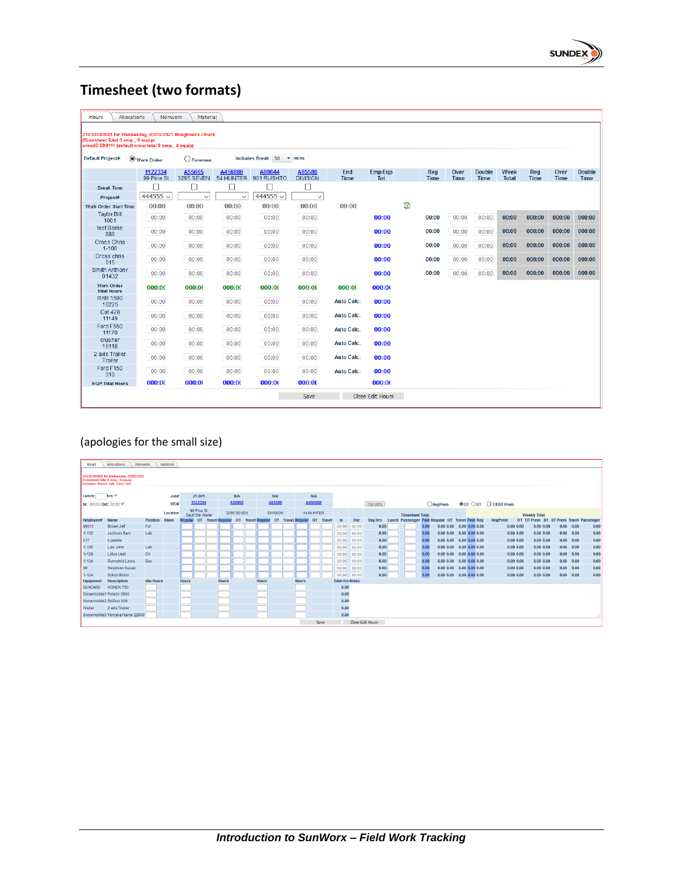

## **Timesheet (two formats)**

| <b>Hours</b><br><b>Allocations</b>                                                                                                               | Nonwork               | Material             |              |                                |                           |                    |                       |    |                    |                     |                       |                      |                           |                     |                              |
|--------------------------------------------------------------------------------------------------------------------------------------------------|-----------------------|----------------------|--------------|--------------------------------|---------------------------|--------------------|-----------------------|----|--------------------|---------------------|-----------------------|----------------------|---------------------------|---------------------|------------------------------|
| 21030300001 for Wednesday, 03/03/2021 Roughneck Chuck<br>(Timesheet Total 5 emp., 6 equip)<br>crewID 999111 (default crew total 5 emp., 4 equip) |                       |                      |              |                                |                           |                    |                       |    |                    |                     |                       |                      |                           |                     |                              |
| <b>Default Project#:</b>                                                                                                                         | Work Order            | $\bigcirc$ Foreman   |              | Includes Break: 30             | $ightharpoonup$ mins      |                    |                       |    |                    |                     |                       |                      |                           |                     |                              |
|                                                                                                                                                  | 1122334<br>99 Pine St | A55665<br>3295 SEVEN | A456888      | A99844<br>54 HUNTER 901 RUSHTO | A85588<br><b>DIVISION</b> | End<br><b>Time</b> | Emp/Eqp<br><b>Tot</b> |    | Reg<br><b>Time</b> | Over<br><b>Time</b> | <b>Double</b><br>Time | Week<br><b>Total</b> | <b>Reg</b><br><b>Time</b> | Over<br><b>Time</b> | <b>Double</b><br><b>Time</b> |
| <b>Break Time</b>                                                                                                                                |                       | □                    | □            | $\mathbb{R}$                   | □                         |                    |                       |    |                    |                     |                       |                      |                           |                     |                              |
| Project#                                                                                                                                         | 444555 $\backsim$     | $\checkmark$         | $\checkmark$ | 444555 $\vee$                  | $\checkmark$              |                    |                       |    |                    |                     |                       |                      |                           |                     |                              |
| <b>Work Order Start Time</b>                                                                                                                     | 00:00                 | 00:00                | 00:00        | 00:00                          | 00:00                     | 00:00              |                       | G, |                    |                     |                       |                      |                           |                     |                              |
| <b>Tavlor Bill</b><br>1001                                                                                                                       | 00:00                 | 00:00                | 00:00        | 00:00                          | 00:00                     |                    | 00:00                 |    | 00:00              | 00:00               | 00:00                 | 00:00                | 000:00                    | 000:00              | 000:00                       |
| test Barrie<br>888                                                                                                                               | 00:00                 | 00:00                | 00:00        | 00:00                          | 00:00                     |                    | 00:00                 |    | 00:00              | 00:00               | 00:00                 | 00:00                | 000:00                    | 000:00              | 000:00                       |
| <b>Cross Chris</b><br>$1 - 100$                                                                                                                  | 00:00                 | 00:00                | 00:00        | 00:00                          | 00:00                     |                    | 00:00                 |    | 00:00              | 00:00               | 00:00                 | 00:00                | 000:00                    | 000:00              | 000:00                       |
| Cross chris<br>015                                                                                                                               | 00:00                 | 00:00                | 00:00        | 00:00                          | 00:00                     |                    | 00:00                 |    | 00:00              | 00:00               | 00:00                 | 00:00                | 000:00                    | 000:00              | 000:00                       |
| <b>Smith Anthony</b><br>01432                                                                                                                    | 00:00                 | 00:00                | 00:00        | 00:00                          | 00:00                     |                    | 00:00                 |    | 00:00              | 00:00               | 00:00                 | 00:00                | 000:00                    | 000:00              | 000:00                       |
| <b>Work Order</b><br><b>Total Hours</b>                                                                                                          | 000:00                | 000:00               | 000:00       | 000:00                         | 000:00                    | 000:00             | 000:00                |    |                    |                     |                       |                      |                           |                     |                              |
| <b>RAM 1500</b><br>10225                                                                                                                         | 00:00                 | 00:00                | 00:00        | 00:00                          | 00:00                     | <b>Auto Calc.</b>  | 00:00                 |    |                    |                     |                       |                      |                           |                     |                              |
| <b>Cat 420</b><br>11149                                                                                                                          | 00:00                 | 00:00                | 00:00        | 00:00                          | 00:00                     | <b>Auto Calc.</b>  | 00:00                 |    |                    |                     |                       |                      |                           |                     |                              |
| Ford F550<br>11178                                                                                                                               | 00:00                 | 00:00                | 00:00        | 00:00                          | 00:00                     | <b>Auto Calc.</b>  | 00:00                 |    |                    |                     |                       |                      |                           |                     |                              |
| crusher<br>16118                                                                                                                                 | 00:00                 | 00:00                | 00:00        | 00:00                          | 00:00                     | <b>Auto Calc.</b>  | 00:00                 |    |                    |                     |                       |                      |                           |                     |                              |
| 2 axle Trailer<br>Trailer                                                                                                                        | 00:00                 | 00:00                | 00:00        | 00:00                          | 00:00                     | <b>Auto Calc.</b>  | 00:00                 |    |                    |                     |                       |                      |                           |                     |                              |
| Ford F150<br>310                                                                                                                                 | 00:00                 | 00:00                | 00:00        | 00:00                          | 00:00                     | <b>Auto Calc.</b>  | 00:00                 |    |                    |                     |                       |                      |                           |                     |                              |
| <b>EQP Total Hours</b>                                                                                                                           | 000:00                | 000:00               | 000:00       | 000:00                         | 000:00                    |                    | 000:00                |    |                    |                     |                       |                      |                           |                     |                              |
|                                                                                                                                                  |                       |                      |              |                                | Save                      |                    | Close Edit Hours      |    |                    |                     |                       |                      |                           |                     |                              |

### (apologies for the small size)

| Hours                  | Allocations<br>Nonwork                                                                                       |                   | Material     |              |                                |                                  |                   |                          |              |                 |                          |            |        |                        |       |                  |                        |      |                                                 |                                    |                                          |           |                                        |                   |      |
|------------------------|--------------------------------------------------------------------------------------------------------------|-------------------|--------------|--------------|--------------------------------|----------------------------------|-------------------|--------------------------|--------------|-----------------|--------------------------|------------|--------|------------------------|-------|------------------|------------------------|------|-------------------------------------------------|------------------------------------|------------------------------------------|-----------|----------------------------------------|-------------------|------|
|                        | 21030300005 for Wednesday, 03/03/2021<br>(Timesheet Total 8 emp., 5 equip)<br>Foreman: Brown Jeff, Crew: N/A |                   |              |              |                                |                                  |                   |                          |              |                 |                          |            |        |                        |       |                  |                        |      |                                                 |                                    |                                          |           |                                        |                   |      |
| Lunch:                 | hrs $\vee$                                                                                                   |                   | $J$ ob#      |              | 21-001                         |                                  | <b>N/A</b>        |                          |              | N/A             |                          | <b>N/A</b> |        |                        |       |                  |                        |      |                                                 |                                    |                                          |           |                                        |                   |      |
| In: 00:00 Out: 00:00 % |                                                                                                              |                   | WO#          |              | 1122334                        |                                  | A55665            |                          |              | A85588          |                          | A456888    |        |                        |       | Calculate        |                        |      | $\Box$ RegPrem                                  |                                    | $\circ$ OT $\circ$ DT $\circ$ OT/DT Prem |           |                                        |                   |      |
|                        |                                                                                                              |                   | Location     |              | 99 Pine St<br>Sault Ste, Marie |                                  | <b>3295 SEVEN</b> |                          |              | <b>DIVISION</b> |                          | 54 HUNTER  |        |                        |       |                  | <b>Timesheet Total</b> |      |                                                 |                                    |                                          |           | <b>Weekly Total</b>                    |                   |      |
| <b>Employee#</b>       | <b>Name</b>                                                                                                  | <b>Position</b>   | <b>Union</b> |              |                                | <b>Regular OT Travel Regular</b> |                   | <b>OT</b> Travel Regular |              |                 | <b>OT</b> Travel Regular | OT         | Travel | In                     | Out   | Day Hrs          |                        |      | Lunch Passenger Paid Regular OT Travel Paid Reg |                                    | <b>RegPrem</b>                           |           | OT OT Prem DT DT Prem Travel Passenger |                   |      |
| 99011                  | Brown Jeff                                                                                                   | For               |              |              |                                |                                  |                   |                          |              |                 |                          |            |        | 00:00                  | 00:00 | 0.00             |                        | 0.00 |                                                 | $0.00$ $0.00$ $0.00$ $0.00$ $0.00$ |                                          | 0.0000.00 | 0.0000.00                              | 0.00 0.00         | 0.00 |
| $1 - 132$              | Jackson Sam                                                                                                  | Lab               |              |              |                                |                                  |                   |                          |              |                 |                          |            |        | 00:00                  | 00:00 | 0.00             |                        | 0.00 | 0.0000.00                                       | $0.00\ 0.00\ 0.00$                 | 0.0000.00                                |           | 0.0000.00                              | 0.00 0.00         | 0.00 |
| 217                    | k janelle                                                                                                    |                   |              |              |                                |                                  |                   |                          |              |                 |                          |            |        | 00:00                  | 00:00 | 0.00             |                        | 0.00 | 0.0000.00                                       | $0.00\ 0.00\ 0.00$                 |                                          | 0.0000.00 | 0.0000.00                              | 0.00 0.00         | 0.00 |
| $1 - 105$              | Law John                                                                                                     | Lab               |              |              |                                |                                  |                   |                          |              |                 |                          |            |        | 00:00                  | 00:00 | 0.00             |                        | 0.00 | 0.0000.00                                       | $0.00\ 0.00\ 0.00$                 | 0.0000.00                                |           | 0.0000.00                              | 0.00 0.00         | 0.00 |
| $1 - 129$              | <b>Lotus Leaf</b>                                                                                            | Dri               |              |              |                                |                                  |                   |                          |              |                 |                          |            |        | 00:00                  | 00:00 | 0.00             |                        | 0.00 | 0.0000.00                                       | $0.00\,0.00\,0.00$                 |                                          | 0.0000.00 | 0.0000.00                              | 0.00 0.00         | 0.00 |
| $1 - 134$              | Rumsfeld Linda                                                                                               | Bac               |              |              |                                |                                  |                   |                          |              |                 |                          |            |        | $00:00$ 00:00          |       | 0.00             |                        | 0.00 | 0.0000.00                                       | $0.00$ $0.00$ $0.00$               | 0.0000.00                                |           | 0.0000.00                              | 0.00 0.00         | 0.00 |
| 99                     | <b>Swanson Susan</b>                                                                                         |                   |              |              |                                |                                  |                   |                          |              |                 |                          |            |        | 00:00                  | 00:00 | 0.00             |                        | 0.00 | 0.0000.00                                       | $0.00\ 0.00\ 0.00$                 | 0.0000.00                                |           | 0.0000.00                              | 0.00 0.00         | 0.00 |
| $1 - 124$              | Sytnyk Bobbi                                                                                                 |                   |              |              |                                |                                  |                   |                          |              |                 |                          |            |        | $00:00$ 00:00          |       | 0.00             |                        | 0.00 | 0.0000.00                                       | $0.00\ 0.00\ 0.00$                 |                                          | 0.0000.00 | 0.0000.00                              | $0.00 \quad 0.00$ | 0.00 |
| Equipment              | <b>Description</b>                                                                                           | <b>Idle Hours</b> |              | <b>Hours</b> |                                | <b>Hours</b>                     |                   |                          | <b>Hours</b> |                 | <b>Hours</b>             |            |        | <b>Total Hrs Notes</b> |       |                  |                        |      |                                                 |                                    |                                          |           |                                        |                   |      |
| QUAD450                | HONDA 750                                                                                                    |                   |              |              |                                |                                  |                   |                          |              |                 |                          |            |        | 0.00                   |       |                  |                        |      |                                                 |                                    |                                          |           |                                        |                   |      |
|                        | Snowmobile1 Polaris 3500                                                                                     |                   |              |              |                                |                                  |                   |                          |              |                 |                          |            |        | 0.00                   |       |                  |                        |      |                                                 |                                    |                                          |           |                                        |                   |      |
| Snowmobile2 SkiDoo 550 |                                                                                                              |                   |              |              |                                |                                  |                   |                          |              |                 |                          |            |        | 0.00                   |       |                  |                        |      |                                                 |                                    |                                          |           |                                        |                   |      |
| Trailer                | 2 axle Trailer                                                                                               |                   |              |              |                                |                                  |                   |                          |              |                 |                          |            |        | 0.00                   |       |                  |                        |      |                                                 |                                    |                                          |           |                                        |                   |      |
|                        | Snowmobile3 Yamaha Name Z2000                                                                                |                   |              |              |                                |                                  |                   |                          |              |                 |                          |            |        | 0.00                   |       |                  |                        |      |                                                 |                                    |                                          |           |                                        |                   |      |
|                        |                                                                                                              |                   |              |              |                                |                                  |                   |                          |              |                 |                          | Save       |        |                        |       | Close Edit Hours |                        |      |                                                 |                                    |                                          |           |                                        |                   |      |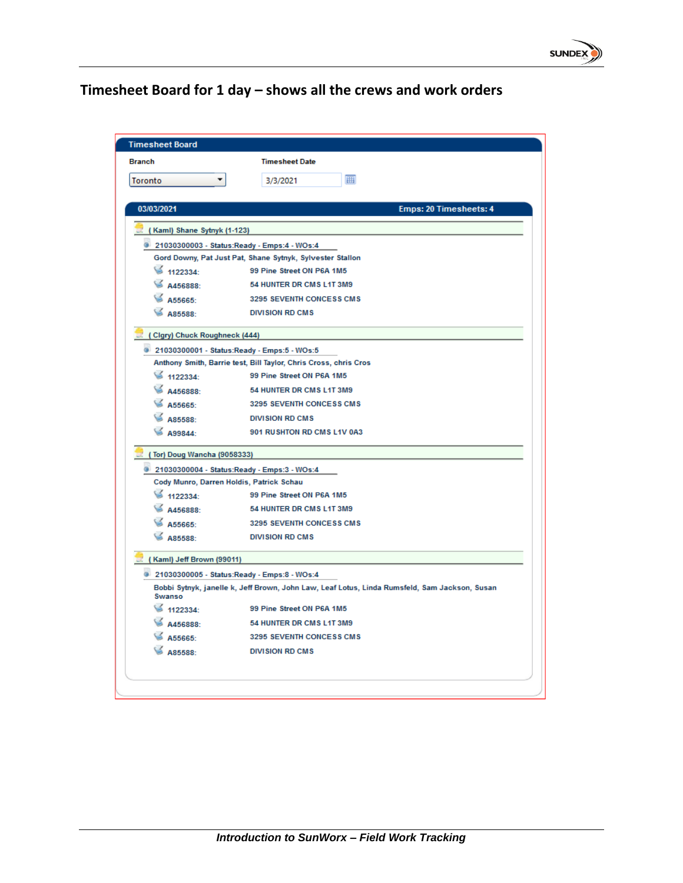

## **Timesheet Board for 1 day – shows all the crews and work orders**

| <b>Timesheet Board</b>                   |                                                                                               |
|------------------------------------------|-----------------------------------------------------------------------------------------------|
| <b>Branch</b>                            | <b>Timesheet Date</b>                                                                         |
| <b>Toronto</b>                           | 圃<br>3/3/2021                                                                                 |
|                                          |                                                                                               |
| 03/03/2021                               | Emps: 20 Timesheets: 4                                                                        |
| (Kaml) Shane Sytnyk (1-123)              |                                                                                               |
|                                          | 21030300003 - Status:Ready - Emps:4 - WOs:4                                                   |
|                                          | Gord Downy, Pat Just Pat, Shane Sytnyk, Sylvester Stallon                                     |
| \$1122334:                               | 99 Pine Street ON P6A 1M5                                                                     |
| A456888:                                 | 54 HUNTER DR CMS L1T 3M9                                                                      |
| A55665:                                  | 3295 SEVENTH CONCESS CMS                                                                      |
| A85588:                                  | <b>DIVISION RD CMS</b>                                                                        |
| (Clgry) Chuck Roughneck (444)            |                                                                                               |
|                                          | 21030300001 - Status:Ready - Emps:5 - WOs:5                                                   |
|                                          | Anthony Smith, Barrie test, Bill Taylor, Chris Cross, chris Cros                              |
| 1122334:                                 | 99 Pine Street ON P6A 1M5                                                                     |
| A456888:                                 | 54 HUNTER DR CMS L1T 3M9                                                                      |
| A55665:                                  | 3295 SEVENTH CONCESS CMS                                                                      |
| A85588:                                  | <b>DIVISION RD CMS</b>                                                                        |
| A99844:                                  | 901 RUSHTON RD CMS L1V 0A3                                                                    |
| (Tor) Doug Wancha (9058333)              |                                                                                               |
|                                          | 21030300004 - Status:Ready - Emps:3 - WOs:4                                                   |
| Cody Munro, Darren Holdis, Patrick Schau |                                                                                               |
| $\leq 1122334$                           | 99 Pine Street ON P6A 1M5                                                                     |
| A456888:                                 | 54 HUNTER DR CMS L1T 3M9                                                                      |
| A55665                                   | 3295 SEVENTH CONCESS CMS                                                                      |
| A85588:                                  | <b>DIVISION RD CMS</b>                                                                        |
| (Kaml) Jeff Brown (99011)                |                                                                                               |
|                                          | 21030300005 - Status:Ready - Emps:8 - WOs:4                                                   |
| Swanso                                   | Bobbi Sytnyk, janelle k, Jeff Brown, John Law, Leaf Lotus, Linda Rumsfeld, Sam Jackson, Susan |
| \$1122334:                               | 99 Pine Street ON P6A 1M5                                                                     |
| A456888:                                 | 54 HUNTER DR CMS L1T 3M9                                                                      |
| A55665:                                  | 3295 SEVENTH CONCESS CMS                                                                      |
| A85588                                   | <b>DIVISION RD CMS</b>                                                                        |
|                                          |                                                                                               |
|                                          |                                                                                               |